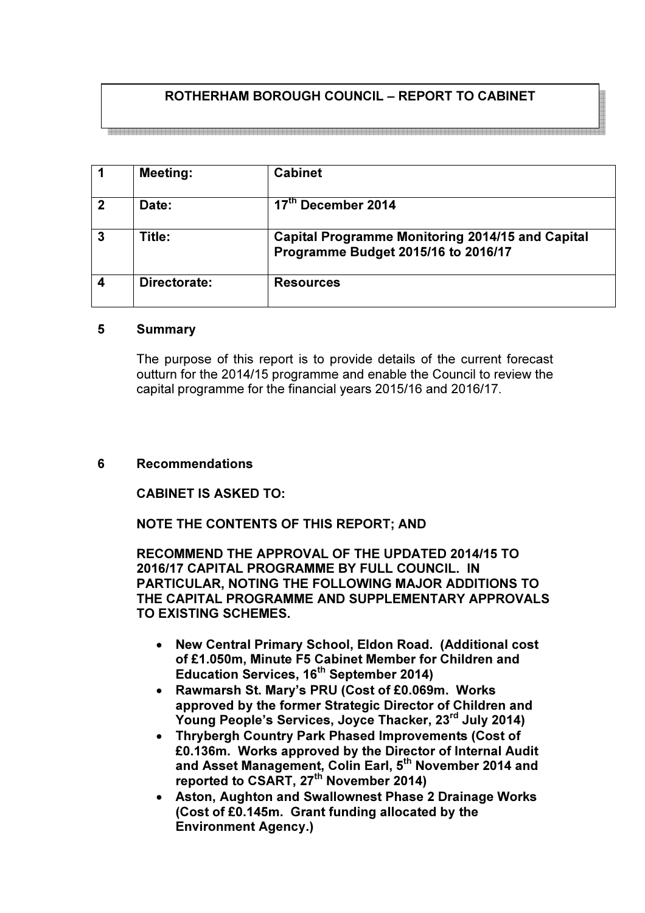# ROTHERHAM BOROUGH COUNCIL – REPORT TO CABINET

1 Meeting: Cabinet 2 Date:  $17<sup>th</sup>$  December 2014 3 Title: Capital Programme Monitoring 2014/15 and Capital Programme Budget 2015/16 to 2016/17 4 Directorate: Resources

#### 5 Summary

The purpose of this report is to provide details of the current forecast outturn for the 2014/15 programme and enable the Council to review the capital programme for the financial years 2015/16 and 2016/17.

#### 6 Recommendations

CABINET IS ASKED TO:

NOTE THE CONTENTS OF THIS REPORT; AND

RECOMMEND THE APPROVAL OF THE UPDATED 2014/15 TO 2016/17 CAPITAL PROGRAMME BY FULL COUNCIL. IN PARTICULAR, NOTING THE FOLLOWING MAJOR ADDITIONS TO THE CAPITAL PROGRAMME AND SUPPLEMENTARY APPROVALS TO EXISTING SCHEMES.

- New Central Primary School, Eldon Road. (Additional cost of £1.050m, Minute F5 Cabinet Member for Children and Education Services, 16<sup>th</sup> September 2014)
- Rawmarsh St. Mary's PRU (Cost of £0.069m. Works approved by the former Strategic Director of Children and Young People's Services, Joyce Thacker, 23rd July 2014)
- Thrybergh Country Park Phased Improvements (Cost of £0.136m. Works approved by the Director of Internal Audit and Asset Management, Colin Earl, 5<sup>th</sup> November 2014 and reported to CSART, 27<sup>th</sup> November 2014)
- Aston, Aughton and Swallownest Phase 2 Drainage Works (Cost of £0.145m. Grant funding allocated by the Environment Agency.)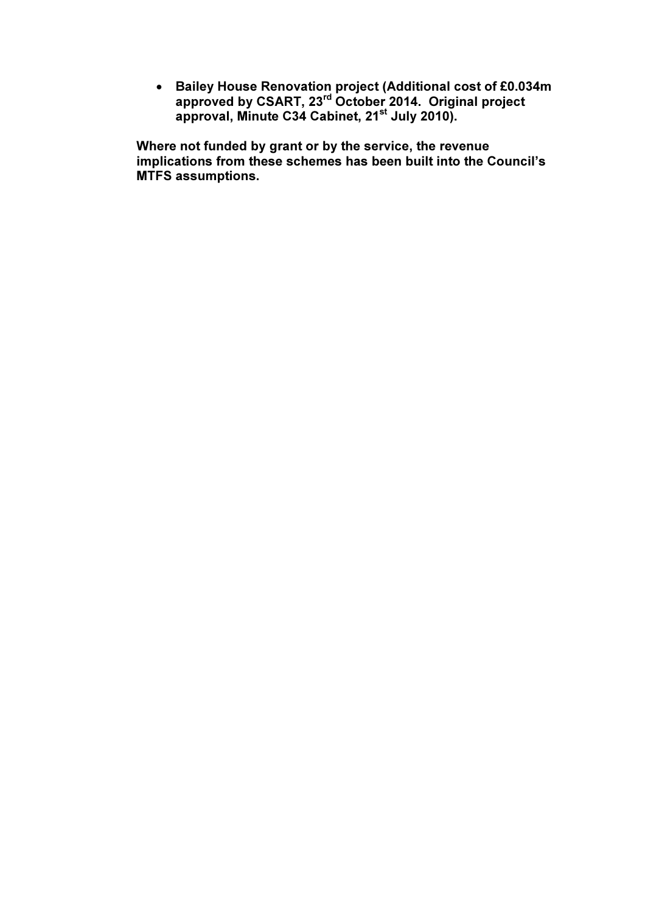• Bailey House Renovation project (Additional cost of £0.034m approved by CSART, 23<sup>rd</sup> October 2014. Original project approval, Minute C34 Cabinet, 21<sup>st</sup> July 2010).

Where not funded by grant or by the service, the revenue implications from these schemes has been built into the Council's MTFS assumptions.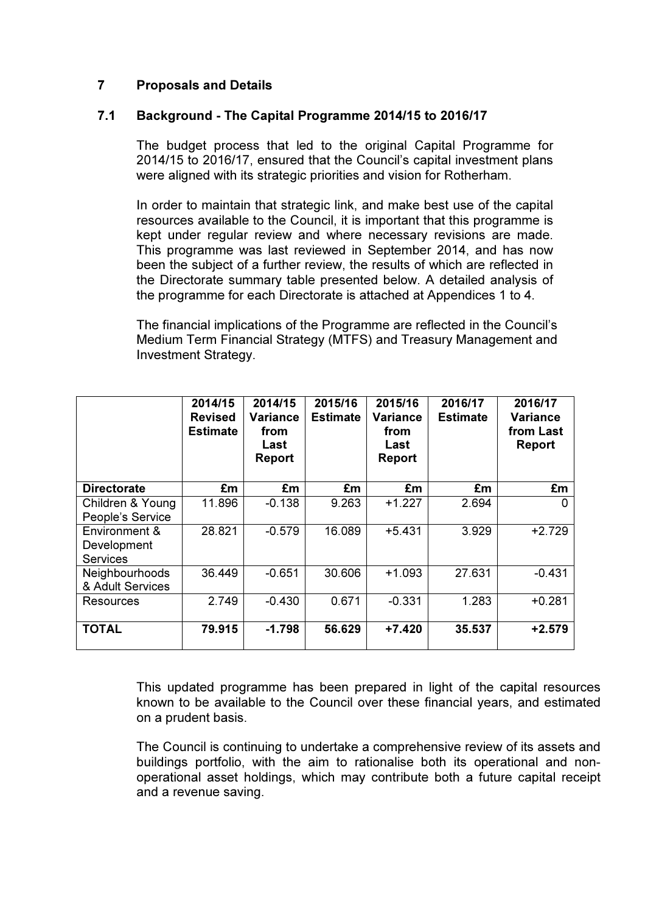# 7 Proposals and Details

#### 7.1 Background - The Capital Programme 2014/15 to 2016/17

The budget process that led to the original Capital Programme for 2014/15 to 2016/17, ensured that the Council's capital investment plans were aligned with its strategic priorities and vision for Rotherham.

In order to maintain that strategic link, and make best use of the capital resources available to the Council, it is important that this programme is kept under regular review and where necessary revisions are made. This programme was last reviewed in September 2014, and has now been the subject of a further review, the results of which are reflected in the Directorate summary table presented below. A detailed analysis of the programme for each Directorate is attached at Appendices 1 to 4.

The financial implications of the Programme are reflected in the Council's Medium Term Financial Strategy (MTFS) and Treasury Management and Investment Strategy.

|                                                 | 2014/15<br><b>Revised</b><br><b>Estimate</b> | 2014/15<br>Variance<br>from<br>Last<br><b>Report</b> | 2015/16<br><b>Estimate</b> | 2015/16<br>Variance<br>from<br>Last<br><b>Report</b> | 2016/17<br><b>Estimate</b> | 2016/17<br>Variance<br>from Last<br><b>Report</b> |
|-------------------------------------------------|----------------------------------------------|------------------------------------------------------|----------------------------|------------------------------------------------------|----------------------------|---------------------------------------------------|
| <b>Directorate</b>                              | £m                                           | £m                                                   | £m                         | £m                                                   | £m                         | £m                                                |
| Children & Young<br>People's Service            | 11.896                                       | $-0.138$                                             | 9.263                      | $+1.227$                                             | 2.694                      | 0                                                 |
| Environment &<br>Development<br><b>Services</b> | 28.821                                       | $-0.579$                                             | 16.089                     | $+5.431$                                             | 3.929                      | $+2.729$                                          |
| Neighbourhoods<br>& Adult Services              | 36.449                                       | $-0.651$                                             | 30.606                     | $+1.093$                                             | 27.631                     | $-0.431$                                          |
| Resources                                       | 2.749                                        | $-0.430$                                             | 0.671                      | $-0.331$                                             | 1.283                      | $+0.281$                                          |
| <b>TOTAL</b>                                    | 79.915                                       | $-1.798$                                             | 56.629                     | +7.420                                               | 35.537                     | $+2.579$                                          |

This updated programme has been prepared in light of the capital resources known to be available to the Council over these financial years, and estimated on a prudent basis.

The Council is continuing to undertake a comprehensive review of its assets and buildings portfolio, with the aim to rationalise both its operational and nonoperational asset holdings, which may contribute both a future capital receipt and a revenue saving.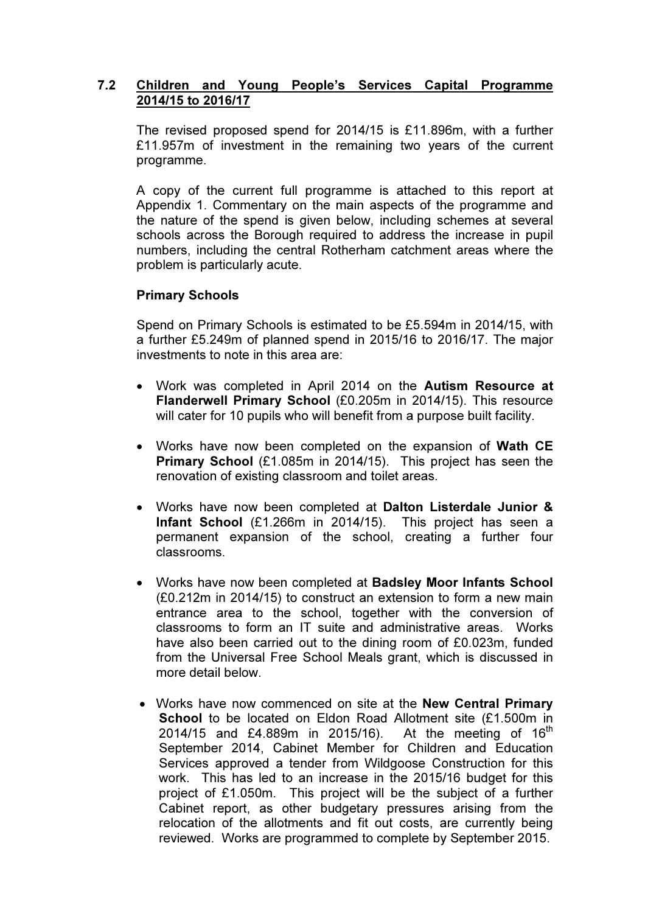#### 7.2 Children and Young People's Services Capital Programme 2014/15 to 2016/17

The revised proposed spend for 2014/15 is £11.896m, with a further £11.957m of investment in the remaining two years of the current programme.

A copy of the current full programme is attached to this report at Appendix 1. Commentary on the main aspects of the programme and the nature of the spend is given below, including schemes at several schools across the Borough required to address the increase in pupil numbers, including the central Rotherham catchment areas where the problem is particularly acute.

#### Primary Schools

Spend on Primary Schools is estimated to be £5.594m in 2014/15, with a further £5.249m of planned spend in 2015/16 to 2016/17. The major investments to note in this area are:

- Work was completed in April 2014 on the Autism Resource at Flanderwell Primary School (£0.205m in 2014/15). This resource will cater for 10 pupils who will benefit from a purpose built facility.
- Works have now been completed on the expansion of Wath CE Primary School (£1.085m in 2014/15). This project has seen the renovation of existing classroom and toilet areas.
- Works have now been completed at Dalton Listerdale Junior & Infant School (£1.266m in 2014/15). This project has seen a permanent expansion of the school, creating a further four classrooms.
- Works have now been completed at Badsley Moor Infants School (£0.212m in 2014/15) to construct an extension to form a new main entrance area to the school, together with the conversion of classrooms to form an IT suite and administrative areas. Works have also been carried out to the dining room of £0.023m, funded from the Universal Free School Meals grant, which is discussed in more detail below.
- Works have now commenced on site at the **New Central Primary** School to be located on Eldon Road Allotment site (£1.500m in 2014/15 and £4.889m in 2015/16). At the meeting of 16<sup>th</sup> September 2014, Cabinet Member for Children and Education Services approved a tender from Wildgoose Construction for this work. This has led to an increase in the 2015/16 budget for this project of £1.050m. This project will be the subject of a further Cabinet report, as other budgetary pressures arising from the relocation of the allotments and fit out costs, are currently being reviewed. Works are programmed to complete by September 2015.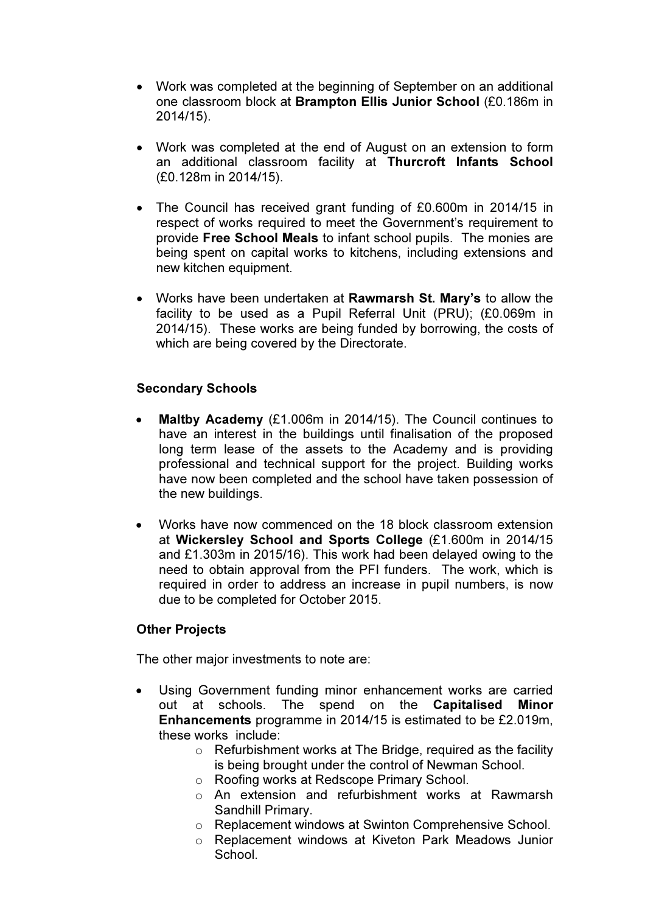- Work was completed at the beginning of September on an additional one classroom block at Brampton Ellis Junior School (£0.186m in 2014/15).
- Work was completed at the end of August on an extension to form an additional classroom facility at Thurcroft Infants School (£0.128m in 2014/15).
- The Council has received grant funding of £0.600m in 2014/15 in respect of works required to meet the Government's requirement to provide Free School Meals to infant school pupils. The monies are being spent on capital works to kitchens, including extensions and new kitchen equipment.
- Works have been undertaken at Rawmarsh St. Mary's to allow the facility to be used as a Pupil Referral Unit (PRU); (£0.069m in 2014/15). These works are being funded by borrowing, the costs of which are being covered by the Directorate.

#### Secondary Schools

- Maltby Academy (£1.006m in 2014/15). The Council continues to have an interest in the buildings until finalisation of the proposed long term lease of the assets to the Academy and is providing professional and technical support for the project. Building works have now been completed and the school have taken possession of the new buildings.
- Works have now commenced on the 18 block classroom extension at Wickersley School and Sports College (£1.600m in 2014/15 and £1.303m in 2015/16). This work had been delayed owing to the need to obtain approval from the PFI funders. The work, which is required in order to address an increase in pupil numbers, is now due to be completed for October 2015.

#### Other Projects

The other major investments to note are:

- Using Government funding minor enhancement works are carried out at schools. The spend on the Capitalised Minor Enhancements programme in 2014/15 is estimated to be £2.019m, these works include:
	- $\circ$  Refurbishment works at The Bridge, required as the facility is being brought under the control of Newman School.
	- o Roofing works at Redscope Primary School.
	- o An extension and refurbishment works at Rawmarsh Sandhill Primary.
	- o Replacement windows at Swinton Comprehensive School.
	- o Replacement windows at Kiveton Park Meadows Junior School.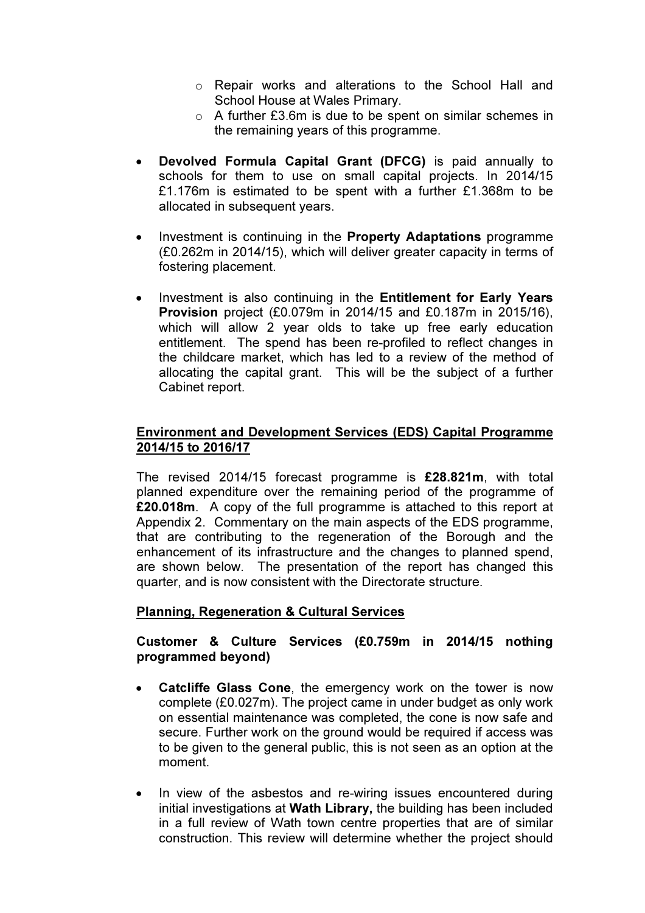- o Repair works and alterations to the School Hall and School House at Wales Primary.
- o A further £3.6m is due to be spent on similar schemes in the remaining years of this programme.
- Devolved Formula Capital Grant (DFCG) is paid annually to schools for them to use on small capital projects. In 2014/15 £1.176m is estimated to be spent with a further £1.368m to be allocated in subsequent years.
- Investment is continuing in the Property Adaptations programme (£0.262m in 2014/15), which will deliver greater capacity in terms of fostering placement.
- Investment is also continuing in the Entitlement for Early Years Provision project (£0.079m in 2014/15 and £0.187m in 2015/16), which will allow 2 year olds to take up free early education entitlement. The spend has been re-profiled to reflect changes in the childcare market, which has led to a review of the method of allocating the capital grant. This will be the subject of a further Cabinet report.

# Environment and Development Services (EDS) Capital Programme 2014/15 to 2016/17

The revised 2014/15 forecast programme is £28.821m, with total planned expenditure over the remaining period of the programme of £20.018m. A copy of the full programme is attached to this report at Appendix 2. Commentary on the main aspects of the EDS programme, that are contributing to the regeneration of the Borough and the enhancement of its infrastructure and the changes to planned spend, are shown below. The presentation of the report has changed this quarter, and is now consistent with the Directorate structure.

# Planning, Regeneration & Cultural Services

#### Customer & Culture Services (£0.759m in 2014/15 nothing programmed beyond)

- Catcliffe Glass Cone, the emergency work on the tower is now complete (£0.027m). The project came in under budget as only work on essential maintenance was completed, the cone is now safe and secure. Further work on the ground would be required if access was to be given to the general public, this is not seen as an option at the moment.
- In view of the asbestos and re-wiring issues encountered during initial investigations at Wath Library, the building has been included in a full review of Wath town centre properties that are of similar construction. This review will determine whether the project should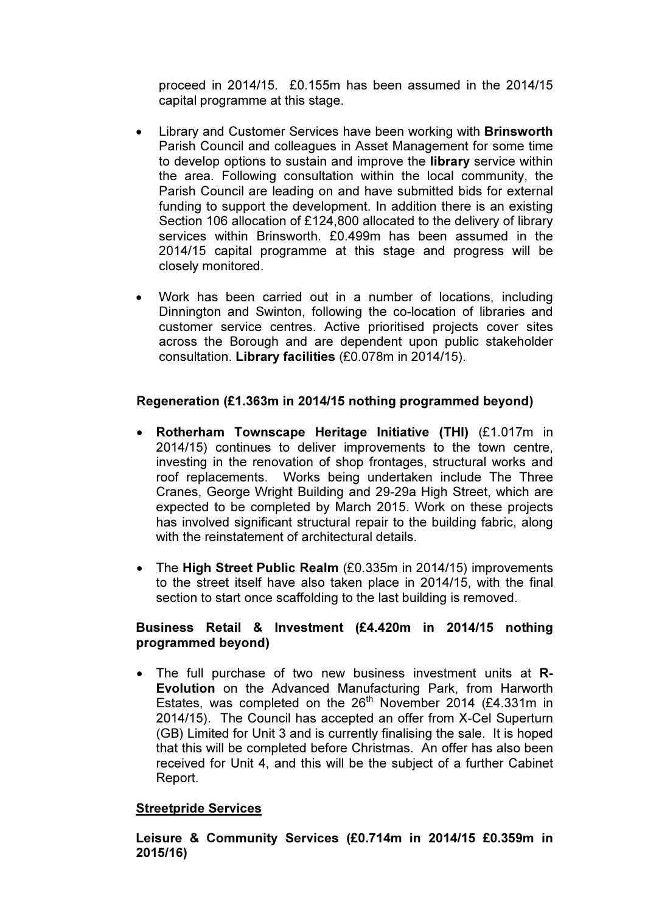proceed in 2014/15. £0.155m has been assumed in the 2014/15 capital programme at this stage.

- Library and Customer Services have been working with **Brinsworth** Parish Council and colleagues in Asset Management for some time to develop options to sustain and improve the **library** service within the area. Following consultation within the local community, the Parish Council are leading on and have submitted bids for external funding to support the development. In addition there is an existing Section 106 allocation of £124,800 allocated to the delivery of library services within Brinsworth. £0.499m has been assumed in the 2014/15 capital programme at this stage and progress will be closely monitored.
- Work has been carried out in a number of locations, including Dinnington and Swinton, following the co-location of libraries and customer service centres. Active prioritised projects cover sites across the Borough and are dependent upon public stakeholder consultation. Library facilities (£0.078m in 2014/15).

# Regeneration (£1.363m in 2014/15 nothing programmed beyond)

- Rotherham Townscape Heritage Initiative (THI) (£1.017m in 2014/15) continues to deliver improvements to the town centre, investing in the renovation of shop frontages, structural works and roof replacements. Works being undertaken include The Three Cranes, George Wright Building and 29-29a High Street, which are expected to be completed by March 2015. Work on these projects has involved significant structural repair to the building fabric, along with the reinstatement of architectural details.
- The High Street Public Realm (£0.335m in 2014/15) improvements to the street itself have also taken place in 2014/15, with the final section to start once scaffolding to the last building is removed.

#### Business Retail & Investment (£4.420m in 2014/15 nothing programmed beyond)

• The full purchase of two new business investment units at R-Evolution on the Advanced Manufacturing Park, from Harworth Estates, was completed on the  $26<sup>th</sup>$  November 2014 (£4.331m in 2014/15). The Council has accepted an offer from X-Cel Superturn (GB) Limited for Unit 3 and is currently finalising the sale. It is hoped that this will be completed before Christmas. An offer has also been received for Unit 4, and this will be the subject of a further Cabinet Report.

#### Streetpride Services

Leisure & Community Services (£0.714m in 2014/15 £0.359m in 2015/16)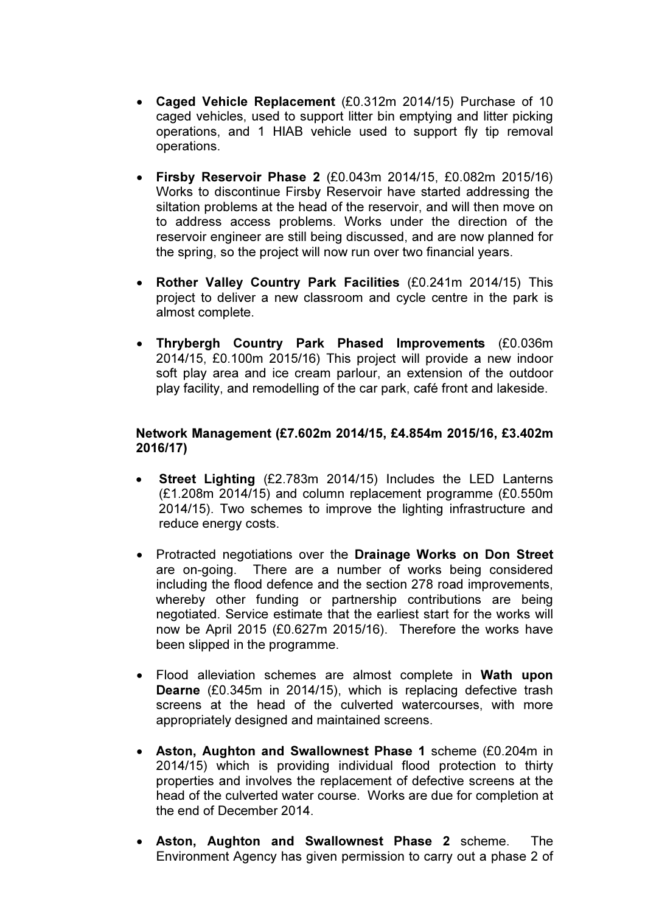- Caged Vehicle Replacement (£0.312m 2014/15) Purchase of 10 caged vehicles, used to support litter bin emptying and litter picking operations, and 1 HIAB vehicle used to support fly tip removal operations.
- Firsby Reservoir Phase 2 (£0.043m 2014/15, £0.082m 2015/16) Works to discontinue Firsby Reservoir have started addressing the siltation problems at the head of the reservoir, and will then move on to address access problems. Works under the direction of the reservoir engineer are still being discussed, and are now planned for the spring, so the project will now run over two financial years.
- Rother Valley Country Park Facilities (£0.241m 2014/15) This project to deliver a new classroom and cycle centre in the park is almost complete.
- Thrybergh Country Park Phased Improvements (£0.036m 2014/15, £0.100m 2015/16) This project will provide a new indoor soft play area and ice cream parlour, an extension of the outdoor play facility, and remodelling of the car park, café front and lakeside.

### Network Management (£7.602m 2014/15, £4.854m 2015/16, £3.402m 2016/17)

- Street Lighting (£2.783m 2014/15) Includes the LED Lanterns (£1.208m 2014/15) and column replacement programme (£0.550m 2014/15). Two schemes to improve the lighting infrastructure and reduce energy costs.
- Protracted negotiations over the Drainage Works on Don Street are on-going. There are a number of works being considered including the flood defence and the section 278 road improvements, whereby other funding or partnership contributions are being negotiated. Service estimate that the earliest start for the works will now be April 2015 (£0.627m 2015/16). Therefore the works have been slipped in the programme.
- Flood alleviation schemes are almost complete in Wath upon Dearne (£0.345m in 2014/15), which is replacing defective trash screens at the head of the culverted watercourses, with more appropriately designed and maintained screens.
- Aston, Aughton and Swallownest Phase 1 scheme (£0.204m in 2014/15) which is providing individual flood protection to thirty properties and involves the replacement of defective screens at the head of the culverted water course. Works are due for completion at the end of December 2014.
- Aston, Aughton and Swallownest Phase 2 scheme. The Environment Agency has given permission to carry out a phase 2 of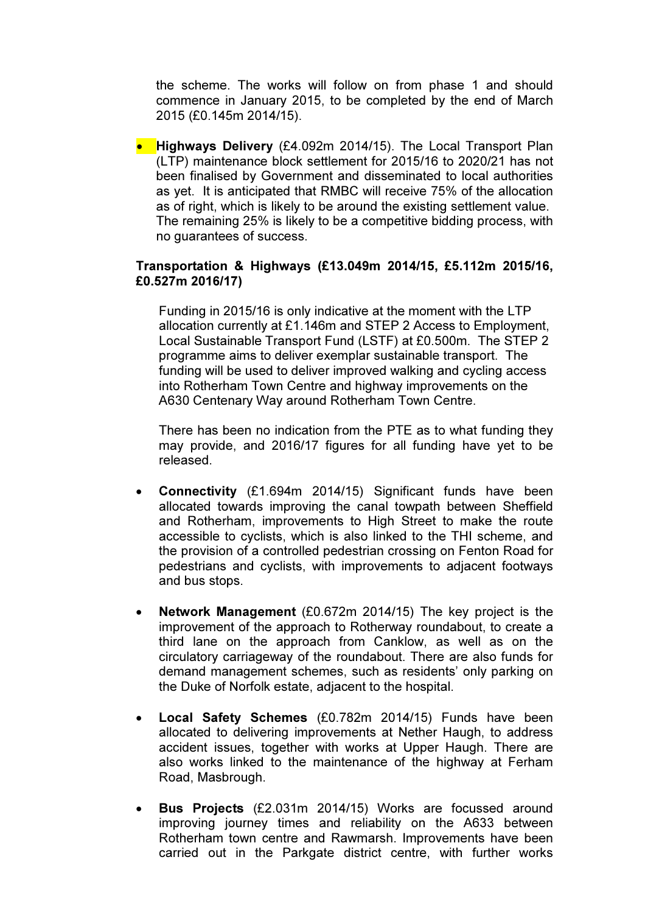the scheme. The works will follow on from phase 1 and should commence in January 2015, to be completed by the end of March 2015 (£0.145m 2014/15).

• Highways Delivery (£4.092m 2014/15). The Local Transport Plan (LTP) maintenance block settlement for 2015/16 to 2020/21 has not been finalised by Government and disseminated to local authorities as yet. It is anticipated that RMBC will receive 75% of the allocation as of right, which is likely to be around the existing settlement value. The remaining 25% is likely to be a competitive bidding process, with no guarantees of success.

#### Transportation & Highways (£13.049m 2014/15, £5.112m 2015/16, £0.527m 2016/17)

Funding in 2015/16 is only indicative at the moment with the LTP allocation currently at £1.146m and STEP 2 Access to Employment, Local Sustainable Transport Fund (LSTF) at £0.500m. The STEP 2 programme aims to deliver exemplar sustainable transport. The funding will be used to deliver improved walking and cycling access into Rotherham Town Centre and highway improvements on the A630 Centenary Way around Rotherham Town Centre.

There has been no indication from the PTE as to what funding they may provide, and 2016/17 figures for all funding have yet to be released.

- Connectivity (£1.694m 2014/15) Significant funds have been allocated towards improving the canal towpath between Sheffield and Rotherham, improvements to High Street to make the route accessible to cyclists, which is also linked to the THI scheme, and the provision of a controlled pedestrian crossing on Fenton Road for pedestrians and cyclists, with improvements to adjacent footways and bus stops.
- Network Management (£0.672m 2014/15) The key project is the improvement of the approach to Rotherway roundabout, to create a third lane on the approach from Canklow, as well as on the circulatory carriageway of the roundabout. There are also funds for demand management schemes, such as residents' only parking on the Duke of Norfolk estate, adjacent to the hospital.
- Local Safety Schemes (£0.782m 2014/15) Funds have been allocated to delivering improvements at Nether Haugh, to address accident issues, together with works at Upper Haugh. There are also works linked to the maintenance of the highway at Ferham Road, Masbrough.
- Bus Projects (£2.031m 2014/15) Works are focussed around improving journey times and reliability on the A633 between Rotherham town centre and Rawmarsh. Improvements have been carried out in the Parkgate district centre, with further works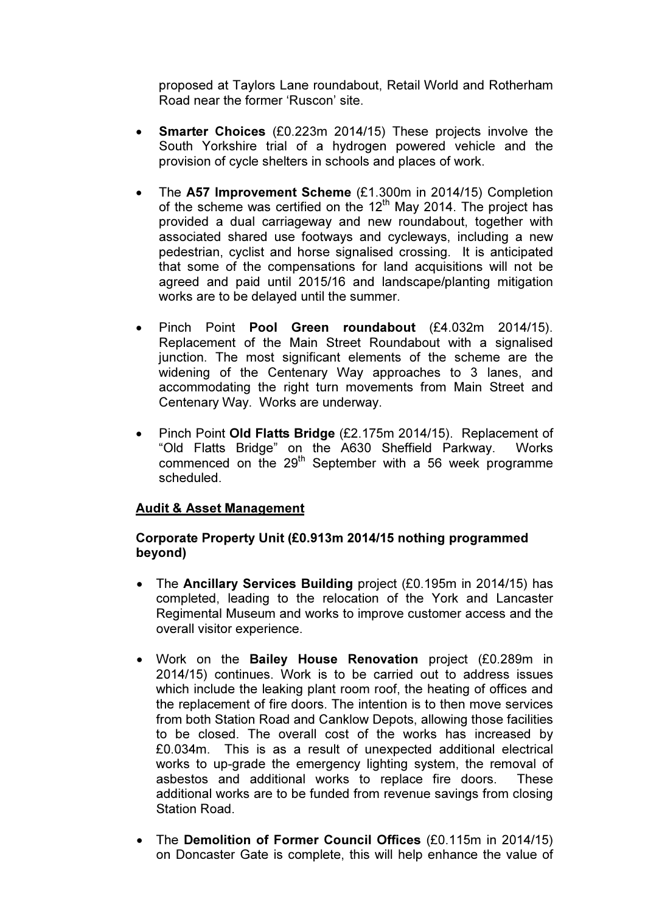proposed at Taylors Lane roundabout, Retail World and Rotherham Road near the former 'Ruscon' site.

- Smarter Choices (£0.223m 2014/15) These projects involve the South Yorkshire trial of a hydrogen powered vehicle and the provision of cycle shelters in schools and places of work.
- The A57 Improvement Scheme (£1.300m in 2014/15) Completion of the scheme was certified on the 12<sup>th</sup> May 2014. The project has provided a dual carriageway and new roundabout, together with associated shared use footways and cycleways, including a new pedestrian, cyclist and horse signalised crossing. It is anticipated that some of the compensations for land acquisitions will not be agreed and paid until 2015/16 and landscape/planting mitigation works are to be delayed until the summer.
- Pinch Point Pool Green roundabout (£4.032m 2014/15). Replacement of the Main Street Roundabout with a signalised junction. The most significant elements of the scheme are the widening of the Centenary Way approaches to 3 lanes, and accommodating the right turn movements from Main Street and Centenary Way. Works are underway.
- Pinch Point Old Flatts Bridge (£2.175m 2014/15). Replacement of "Old Flatts Bridge" on the A630 Sheffield Parkway. Works commenced on the  $29<sup>th</sup>$  September with a 56 week programme scheduled.

#### Audit & Asset Management

#### Corporate Property Unit (£0.913m 2014/15 nothing programmed beyond)

- The Ancillary Services Building project (£0.195m in 2014/15) has completed, leading to the relocation of the York and Lancaster Regimental Museum and works to improve customer access and the overall visitor experience.
- Work on the Bailey House Renovation project (£0.289m in 2014/15) continues. Work is to be carried out to address issues which include the leaking plant room roof, the heating of offices and the replacement of fire doors. The intention is to then move services from both Station Road and Canklow Depots, allowing those facilities to be closed. The overall cost of the works has increased by £0.034m. This is as a result of unexpected additional electrical works to up-grade the emergency lighting system, the removal of asbestos and additional works to replace fire doors. These additional works are to be funded from revenue savings from closing Station Road.
- The Demolition of Former Council Offices (£0.115m in 2014/15) on Doncaster Gate is complete, this will help enhance the value of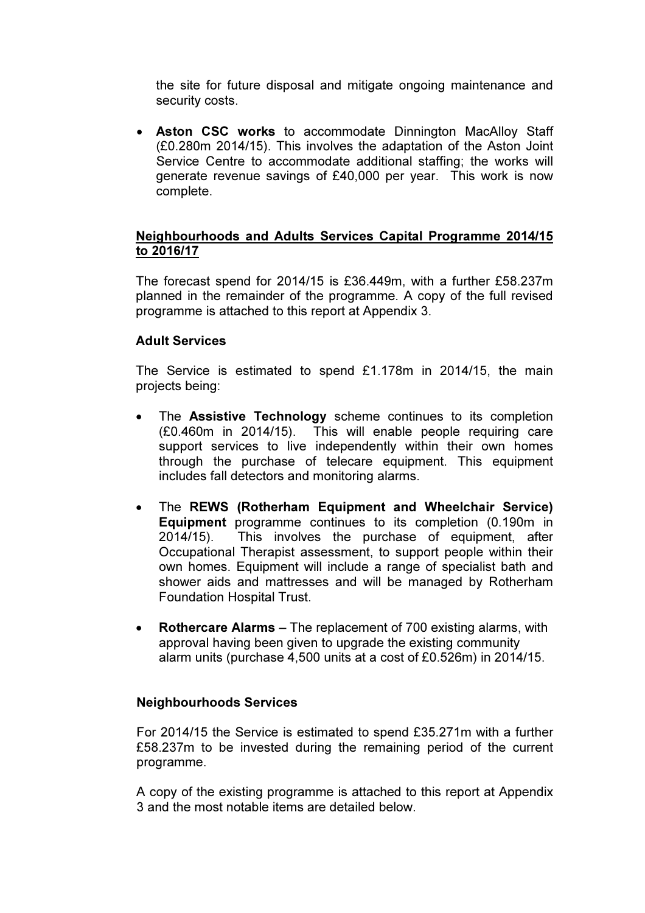the site for future disposal and mitigate ongoing maintenance and security costs.

• Aston CSC works to accommodate Dinnington MacAlloy Staff (£0.280m 2014/15). This involves the adaptation of the Aston Joint Service Centre to accommodate additional staffing; the works will generate revenue savings of £40,000 per year. This work is now complete.

#### Neighbourhoods and Adults Services Capital Programme 2014/15 to 2016/17

The forecast spend for 2014/15 is £36.449m, with a further £58.237m planned in the remainder of the programme. A copy of the full revised programme is attached to this report at Appendix 3.

# Adult Services

The Service is estimated to spend £1.178m in 2014/15, the main projects being:

- The **Assistive Technology** scheme continues to its completion (£0.460m in 2014/15). This will enable people requiring care support services to live independently within their own homes through the purchase of telecare equipment. This equipment includes fall detectors and monitoring alarms.
- The REWS (Rotherham Equipment and Wheelchair Service) Equipment programme continues to its completion (0.190m in 2014/15). This involves the purchase of equipment, after Occupational Therapist assessment, to support people within their own homes. Equipment will include a range of specialist bath and shower aids and mattresses and will be managed by Rotherham Foundation Hospital Trust.
- Rothercare Alarms The replacement of 700 existing alarms, with approval having been given to upgrade the existing community alarm units (purchase 4,500 units at a cost of £0.526m) in 2014/15.

#### Neighbourhoods Services

For 2014/15 the Service is estimated to spend £35.271m with a further £58.237m to be invested during the remaining period of the current programme.

A copy of the existing programme is attached to this report at Appendix 3 and the most notable items are detailed below.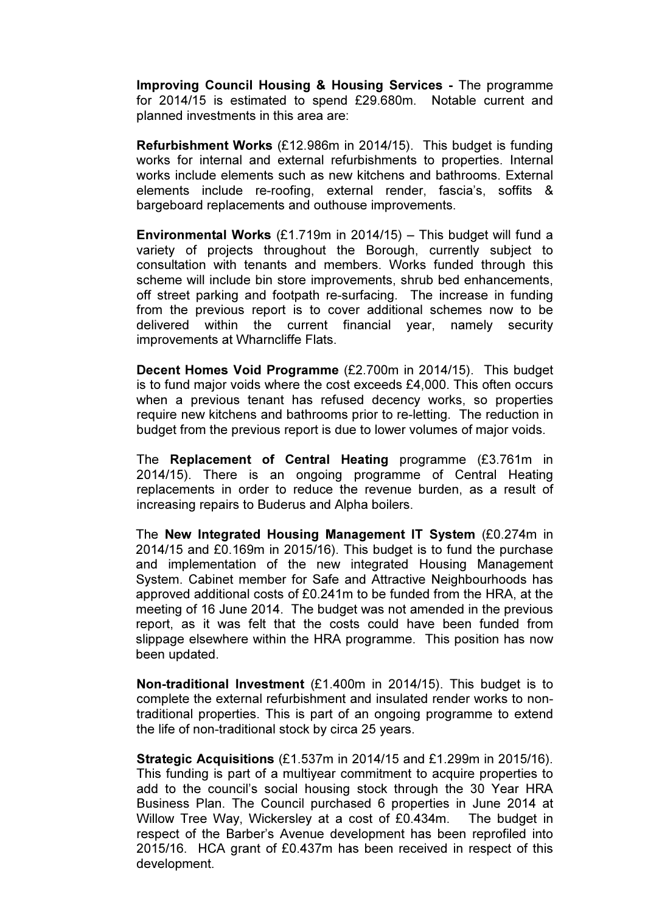Improving Council Housing & Housing Services - The programme for 2014/15 is estimated to spend £29.680m. Notable current and planned investments in this area are:

Refurbishment Works (£12.986m in 2014/15). This budget is funding works for internal and external refurbishments to properties. Internal works include elements such as new kitchens and bathrooms. External elements include re-roofing, external render, fascia's, soffits & bargeboard replacements and outhouse improvements.

Environmental Works (£1.719m in 2014/15) – This budget will fund a variety of projects throughout the Borough, currently subject to consultation with tenants and members. Works funded through this scheme will include bin store improvements, shrub bed enhancements, off street parking and footpath re-surfacing. The increase in funding from the previous report is to cover additional schemes now to be delivered within the current financial year, namely security improvements at Wharncliffe Flats.

Decent Homes Void Programme (£2.700m in 2014/15). This budget is to fund major voids where the cost exceeds £4,000. This often occurs when a previous tenant has refused decency works, so properties require new kitchens and bathrooms prior to re-letting. The reduction in budget from the previous report is due to lower volumes of major voids.

The Replacement of Central Heating programme (£3.761m in 2014/15). There is an ongoing programme of Central Heating replacements in order to reduce the revenue burden, as a result of increasing repairs to Buderus and Alpha boilers.

The New Integrated Housing Management IT System (£0.274m in 2014/15 and £0.169m in 2015/16). This budget is to fund the purchase and implementation of the new integrated Housing Management System. Cabinet member for Safe and Attractive Neighbourhoods has approved additional costs of £0.241m to be funded from the HRA, at the meeting of 16 June 2014. The budget was not amended in the previous report, as it was felt that the costs could have been funded from slippage elsewhere within the HRA programme. This position has now been updated.

Non-traditional Investment (£1.400m in 2014/15). This budget is to complete the external refurbishment and insulated render works to nontraditional properties. This is part of an ongoing programme to extend the life of non-traditional stock by circa 25 years.

Strategic Acquisitions (£1.537m in 2014/15 and £1.299m in 2015/16). This funding is part of a multiyear commitment to acquire properties to add to the council's social housing stock through the 30 Year HRA Business Plan. The Council purchased 6 properties in June 2014 at Willow Tree Way, Wickersley at a cost of £0.434m. The budget in respect of the Barber's Avenue development has been reprofiled into 2015/16. HCA grant of £0.437m has been received in respect of this development.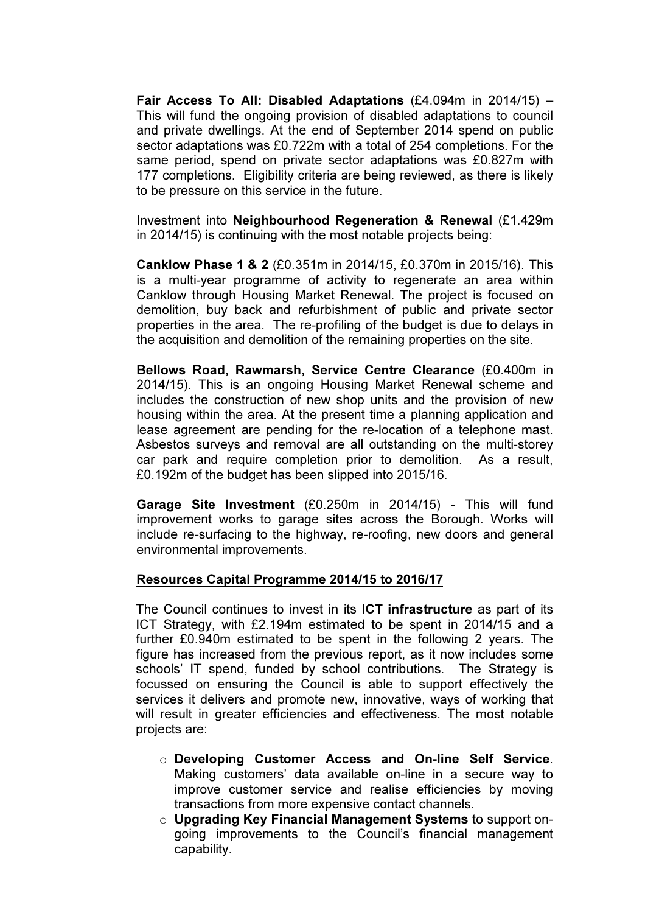Fair Access To All: Disabled Adaptations (£4.094m in 2014/15) – This will fund the ongoing provision of disabled adaptations to council and private dwellings. At the end of September 2014 spend on public sector adaptations was £0.722m with a total of 254 completions. For the same period, spend on private sector adaptations was £0.827m with 177 completions. Eligibility criteria are being reviewed, as there is likely to be pressure on this service in the future.

Investment into Neighbourhood Regeneration & Renewal (£1.429m in 2014/15) is continuing with the most notable projects being:

Canklow Phase 1 & 2 (£0.351m in 2014/15, £0.370m in 2015/16). This is a multi-year programme of activity to regenerate an area within Canklow through Housing Market Renewal. The project is focused on demolition, buy back and refurbishment of public and private sector properties in the area. The re-profiling of the budget is due to delays in the acquisition and demolition of the remaining properties on the site.

Bellows Road, Rawmarsh, Service Centre Clearance (£0.400m in 2014/15). This is an ongoing Housing Market Renewal scheme and includes the construction of new shop units and the provision of new housing within the area. At the present time a planning application and lease agreement are pending for the re-location of a telephone mast. Asbestos surveys and removal are all outstanding on the multi-storey car park and require completion prior to demolition. As a result, £0.192m of the budget has been slipped into 2015/16.

Garage Site Investment (£0.250m in 2014/15) - This will fund improvement works to garage sites across the Borough. Works will include re-surfacing to the highway, re-roofing, new doors and general environmental improvements.

#### Resources Capital Programme 2014/15 to 2016/17

The Council continues to invest in its ICT infrastructure as part of its ICT Strategy, with £2.194m estimated to be spent in 2014/15 and a further £0.940m estimated to be spent in the following 2 years. The figure has increased from the previous report, as it now includes some schools' IT spend, funded by school contributions. The Strategy is focussed on ensuring the Council is able to support effectively the services it delivers and promote new, innovative, ways of working that will result in greater efficiencies and effectiveness. The most notable projects are:

- o Developing Customer Access and On-line Self Service. Making customers' data available on-line in a secure way to improve customer service and realise efficiencies by moving transactions from more expensive contact channels.
- o Upgrading Key Financial Management Systems to support ongoing improvements to the Council's financial management capability.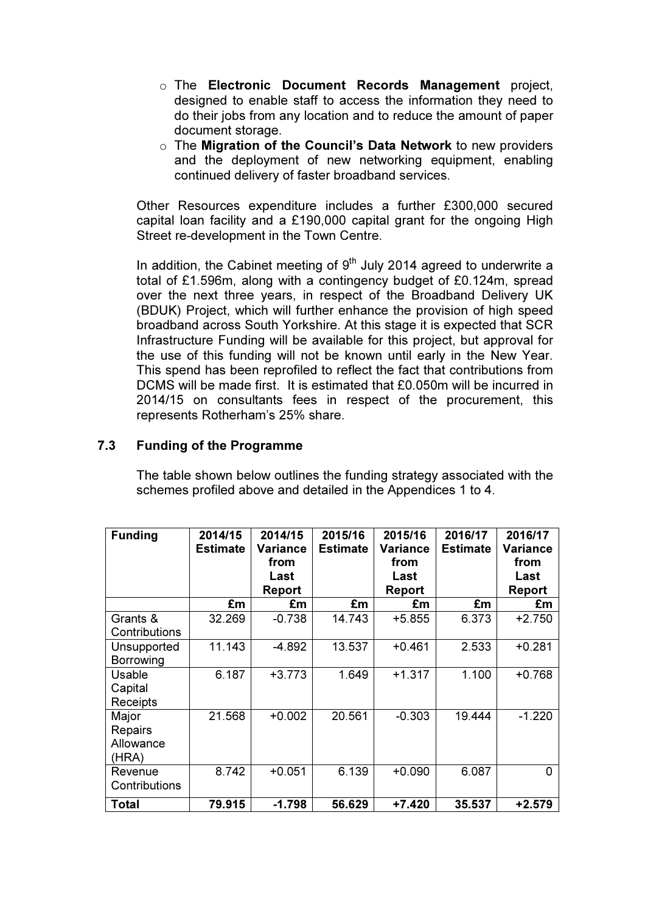- o The Electronic Document Records Management project, designed to enable staff to access the information they need to do their jobs from any location and to reduce the amount of paper document storage.
- $\circ$  The Migration of the Council's Data Network to new providers and the deployment of new networking equipment, enabling continued delivery of faster broadband services.

Other Resources expenditure includes a further £300,000 secured capital loan facility and a £190,000 capital grant for the ongoing High Street re-development in the Town Centre.

In addition, the Cabinet meeting of  $9<sup>th</sup>$  July 2014 agreed to underwrite a total of £1.596m, along with a contingency budget of £0.124m, spread over the next three years, in respect of the Broadband Delivery UK (BDUK) Project, which will further enhance the provision of high speed broadband across South Yorkshire. At this stage it is expected that SCR Infrastructure Funding will be available for this project, but approval for the use of this funding will not be known until early in the New Year. This spend has been reprofiled to reflect the fact that contributions from DCMS will be made first. It is estimated that £0.050m will be incurred in 2014/15 on consultants fees in respect of the procurement, this represents Rotherham's 25% share.

#### 7.3 Funding of the Programme

|                                                               | The table shown below outlines the funding strategy associated with the |
|---------------------------------------------------------------|-------------------------------------------------------------------------|
| schemes profiled above and detailed in the Appendices 1 to 4. |                                                                         |

| <b>Funding</b> | 2014/15         | 2014/15  | 2015/16         | 2015/16         | 2016/17         | 2016/17       |  |
|----------------|-----------------|----------|-----------------|-----------------|-----------------|---------------|--|
|                | <b>Estimate</b> | Variance | <b>Estimate</b> | <b>Variance</b> | <b>Estimate</b> | Variance      |  |
|                |                 | from     |                 | from            |                 | from          |  |
|                |                 | Last     |                 | Last            |                 | Last          |  |
|                |                 | Report   |                 | <b>Report</b>   |                 | <b>Report</b> |  |
|                | £m              | £m       | £m              | £m              | £m              | £m            |  |
| Grants &       | 32.269          | $-0.738$ | 14.743          | $+5.855$        | 6.373           | $+2.750$      |  |
| Contributions  |                 |          |                 |                 |                 |               |  |
| Unsupported    | 11.143          | $-4.892$ | 13.537          | $+0.461$        | 2.533           | $+0.281$      |  |
| Borrowing      |                 |          |                 |                 |                 |               |  |
| Usable         | 6.187           | $+3.773$ | 1.649           | $+1.317$        | 1.100           | $+0.768$      |  |
| Capital        |                 |          |                 |                 |                 |               |  |
| Receipts       |                 |          |                 |                 |                 |               |  |
| Major          | 21.568          | $+0.002$ | 20.561          | $-0.303$        | 19.444          | $-1.220$      |  |
| <b>Repairs</b> |                 |          |                 |                 |                 |               |  |
| Allowance      |                 |          |                 |                 |                 |               |  |
| (HRA)          |                 |          |                 |                 |                 |               |  |
| Revenue        | 8.742           | $+0.051$ | 6.139           | $+0.090$        | 6.087           | 0             |  |
| Contributions  |                 |          |                 |                 |                 |               |  |
| <b>Total</b>   | 79.915          | $-1.798$ | 56.629          | $+7.420$        | 35.537          | $+2.579$      |  |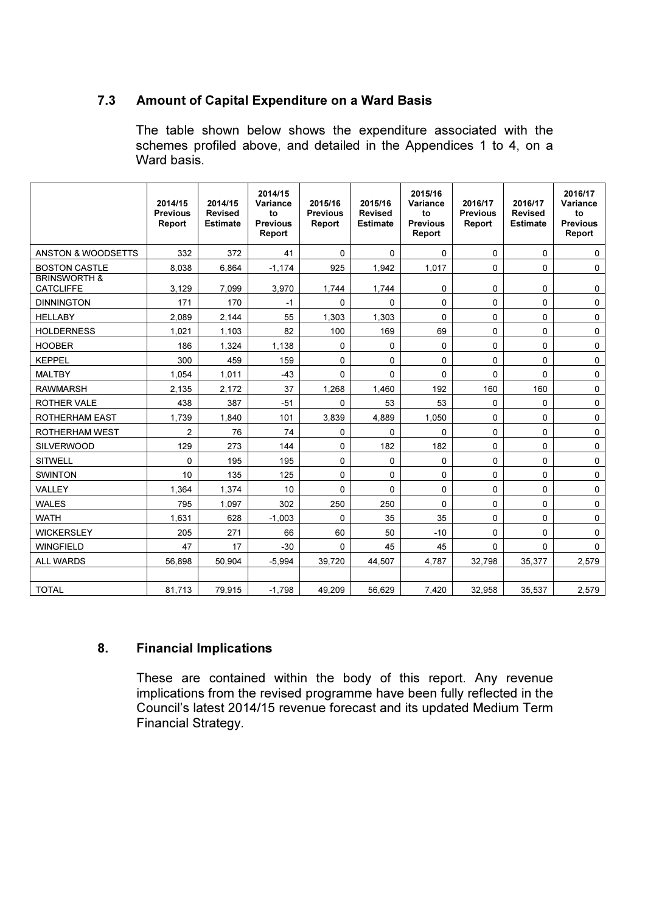### 7.3 Amount of Capital Expenditure on a Ward Basis

The table shown below shows the expenditure associated with the schemes profiled above, and detailed in the Appendices 1 to 4, on a Ward basis.

|                                             | 2014/15<br><b>Previous</b><br>Report | 2014/15<br><b>Revised</b><br><b>Estimate</b> | 2014/15<br>Variance<br>to<br><b>Previous</b><br>Report | 2015/16<br><b>Previous</b><br>Report | 2015/16<br><b>Revised</b><br><b>Estimate</b> | 2015/16<br>Variance<br>to<br><b>Previous</b><br>Report | 2016/17<br><b>Previous</b><br>Report | 2016/17<br><b>Revised</b><br><b>Estimate</b> | 2016/17<br>Variance<br>to<br><b>Previous</b><br>Report |
|---------------------------------------------|--------------------------------------|----------------------------------------------|--------------------------------------------------------|--------------------------------------|----------------------------------------------|--------------------------------------------------------|--------------------------------------|----------------------------------------------|--------------------------------------------------------|
| ANSTON & WOODSETTS                          | 332                                  | 372                                          | 41                                                     | 0                                    | 0                                            | 0                                                      | 0                                    | 0                                            | 0                                                      |
| <b>BOSTON CASTLE</b>                        | 8,038                                | 6,864                                        | $-1,174$                                               | 925                                  | 1,942                                        | 1,017                                                  | 0                                    | 0                                            | 0                                                      |
| <b>BRINSWORTH &amp;</b><br><b>CATCLIFFE</b> | 3.129                                | 7,099                                        | 3,970                                                  | 1,744                                | 1,744                                        | 0                                                      | $\Omega$                             | 0                                            | 0                                                      |
| <b>DINNINGTON</b>                           | 171                                  | 170                                          | $-1$                                                   | 0                                    | 0                                            | 0                                                      | 0                                    | 0                                            | 0                                                      |
| <b>HELLABY</b>                              | 2,089                                | 2,144                                        | 55                                                     | 1,303                                | 1,303                                        | 0                                                      | 0                                    | 0                                            | 0                                                      |
| <b>HOLDERNESS</b>                           | 1.021                                | 1,103                                        | 82                                                     | 100                                  | 169                                          | 69                                                     | 0                                    | 0                                            | 0                                                      |
| <b>HOOBER</b>                               | 186                                  | 1,324                                        | 1,138                                                  | 0                                    | 0                                            | 0                                                      | 0                                    | 0                                            | 0                                                      |
| <b>KEPPEL</b>                               | 300                                  | 459                                          | 159                                                    | 0                                    | 0                                            | 0                                                      | 0                                    | 0                                            | 0                                                      |
| <b>MALTBY</b>                               | 1.054                                | 1.011                                        | $-43$                                                  | 0                                    | 0                                            | 0                                                      | 0                                    | 0                                            | 0                                                      |
| <b>RAWMARSH</b>                             | 2,135                                | 2,172                                        | 37                                                     | 1,268                                | 1,460                                        | 192                                                    | 160                                  | 160                                          | 0                                                      |
| <b>ROTHER VALE</b>                          | 438                                  | 387                                          | $-51$                                                  | 0                                    | 53                                           | 53                                                     | 0                                    | $\Omega$                                     | 0                                                      |
| <b>ROTHERHAM EAST</b>                       | 1,739                                | 1,840                                        | 101                                                    | 3,839                                | 4,889                                        | 1,050                                                  | 0                                    | 0                                            | 0                                                      |
| <b>ROTHERHAM WEST</b>                       | $\overline{c}$                       | 76                                           | 74                                                     | 0                                    | 0                                            | 0                                                      | $\Omega$                             | 0                                            | 0                                                      |
| <b>SILVERWOOD</b>                           | 129                                  | 273                                          | 144                                                    | 0                                    | 182                                          | 182                                                    | 0                                    | 0                                            | 0                                                      |
| <b>SITWELL</b>                              | $\Omega$                             | 195                                          | 195                                                    | 0                                    | 0                                            | 0                                                      | 0                                    | 0                                            | 0                                                      |
| <b>SWINTON</b>                              | 10                                   | 135                                          | 125                                                    | 0                                    | 0                                            | 0                                                      | 0                                    | 0                                            | 0                                                      |
| VALLEY                                      | 1.364                                | 1,374                                        | 10                                                     | $\Omega$                             | 0                                            | 0                                                      | 0                                    | 0                                            | 0                                                      |
| <b>WALES</b>                                | 795                                  | 1,097                                        | 302                                                    | 250                                  | 250                                          | 0                                                      | $\Omega$                             | 0                                            | $\Omega$                                               |
| <b>WATH</b>                                 | 1.631                                | 628                                          | $-1.003$                                               | 0                                    | 35                                           | 35                                                     | 0                                    | 0                                            | 0                                                      |
| <b>WICKERSLEY</b>                           | 205                                  | 271                                          | 66                                                     | 60                                   | 50                                           | $-10$                                                  | $\Omega$                             | 0                                            | 0                                                      |
| <b>WINGFIELD</b>                            | 47                                   | 17                                           | $-30$                                                  | 0                                    | 45                                           | 45                                                     | 0                                    | 0                                            | 0                                                      |
| <b>ALL WARDS</b>                            | 56,898                               | 50,904                                       | $-5,994$                                               | 39,720                               | 44,507                                       | 4,787                                                  | 32,798                               | 35,377                                       | 2,579                                                  |
|                                             |                                      |                                              |                                                        |                                      |                                              |                                                        |                                      |                                              |                                                        |
| <b>TOTAL</b>                                | 81,713                               | 79,915                                       | $-1,798$                                               | 49,209                               | 56,629                                       | 7,420                                                  | 32,958                               | 35,537                                       | 2,579                                                  |

# 8. Financial Implications

These are contained within the body of this report. Any revenue implications from the revised programme have been fully reflected in the Council's latest 2014/15 revenue forecast and its updated Medium Term Financial Strategy.